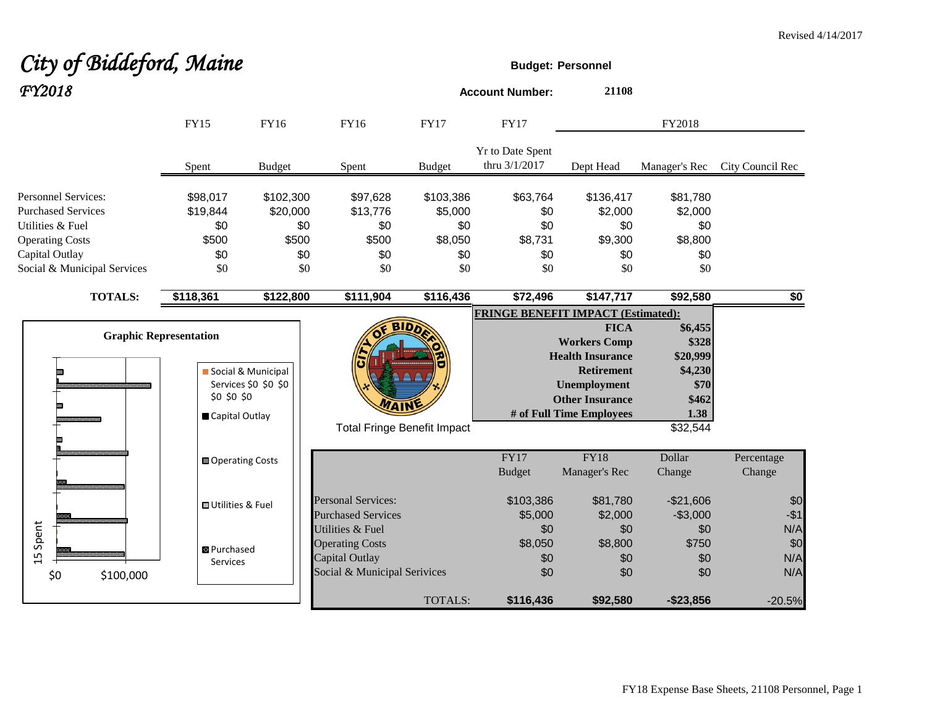#### **City of Biddeford, Maine Budget:** Personnel *FY2018* **Account Number: <sup>21108</sup>** FY2018 FY15 FY16 FY16 FY17 FY17 Yr to Date Spent thru 3/1/2017 Dept Head Manager's Rec City Council Rec Spent Budget Spent Budget Personnel Services: **\$98,017** \$102,300 \$97,628 \$103,386 \$63,764 \$136,417 \$81,780 Purchased Services \$19,844 \$20,000 \$13,776 \$5,000 \$0 \$2,000 \$2,000 Utilities & Fuel \$0 \$0 \$0 \$0 \$0 \$0 \$0 Operating Costs \$500 \$500 \$500 \$8,050 \$8,731 \$9,300 \$8,800 Capital Outlay \$0 \$0 \$0 \$0 \$0 \$0 \$0 Social & Municipal Services \$0 \$0 \$0 \$0 \$0 \$0 \$0 **TOTALS: \$118,361 \$122,800 \$111,904 \$116,436 \$72,496 \$147,717 \$92,580 \$0 FRINGE BENEFIT IMPACT (Estimated): BIDD FICA \$6,455 Graphic Representation Workers Comp \$328 Health Insurance \$20,999** Social & Municipal **Retirement \$4,230** Services \$0 \$0 \$0  **Unemployment \$70** \$0 \$0 \$0  **Other Insurance \$462 WAIN # of Full Time Employees 1.38** Capital Outlay Total Fringe Benefit Impact **\$32,544** \$32,544 FY17 FY18 Dollar Percentage Operating Costs Budget Manager's Rec Change Change Personal Services:  $$103,386$   $$81,780$   $$21,606$   $$0$ **Utilities & Fuel** Purchased Services  $$5,000$   $$2,000$   $$3,000$  -\$1 15 Spent Utilities & Fuel \$0 \$0 \$0 N/A **Operating Costs 58,050** \$8,050 \$8,800 \$750 \$0 **B** Purchased Capital Outlay **50** \$0 \$0 N/A Services Social & Municipal Serivices  $$0$  \$0  $$0$  \$0 N/A \$0 \$100,000

#### FY18 Expense Base Sheets, 21108 Personnel, Page 1

TOTALS: **\$116,436 \$92,580 -\$23,856** -20.5%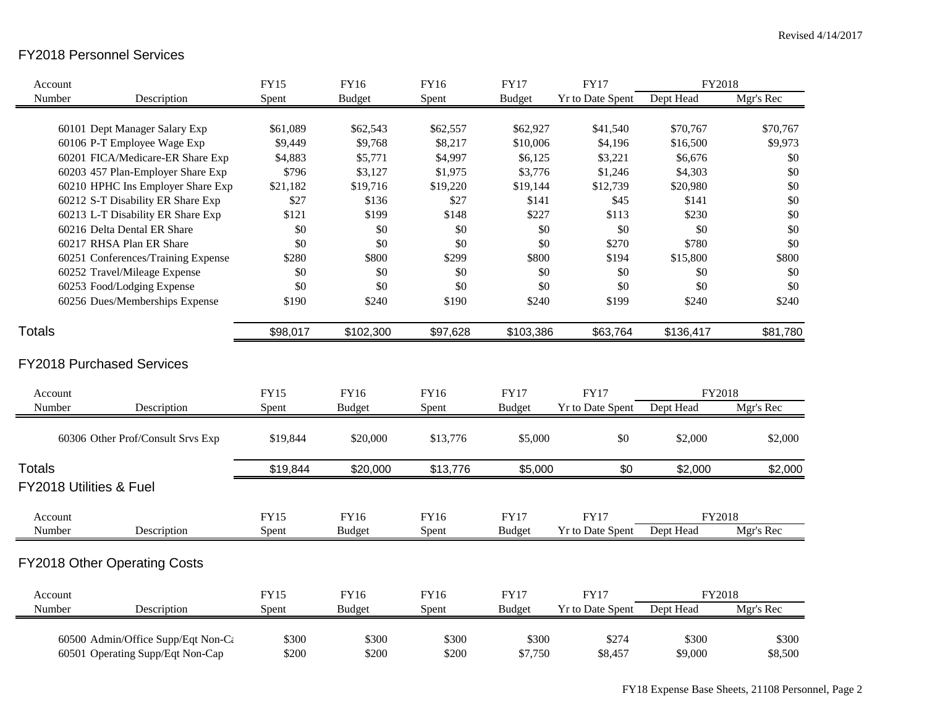# FY2018 Personnel Services

| Account       |                                    | <b>FY15</b> | <b>FY16</b>   | <b>FY16</b> | <b>FY17</b>   | <b>FY17</b>             | FY2018    |           |
|---------------|------------------------------------|-------------|---------------|-------------|---------------|-------------------------|-----------|-----------|
| Number        | Description                        | Spent       | <b>Budget</b> | Spent       | <b>Budget</b> | Yr to Date Spent        | Dept Head | Mgr's Rec |
|               |                                    |             |               |             |               |                         |           |           |
|               | 60101 Dept Manager Salary Exp      | \$61,089    | \$62,543      | \$62,557    | \$62,927      | \$41,540                | \$70,767  | \$70,767  |
|               | 60106 P-T Employee Wage Exp        | \$9,449     | \$9,768       | \$8,217     | \$10,006      | \$4,196                 | \$16,500  | \$9,973   |
|               | 60201 FICA/Medicare-ER Share Exp   | \$4,883     | \$5,771       | \$4,997     | \$6,125       | \$3,221                 | \$6,676   | \$0       |
|               | 60203 457 Plan-Employer Share Exp  | \$796       | \$3,127       | \$1,975     | \$3,776       | \$1,246                 | \$4,303   | \$0       |
|               | 60210 HPHC Ins Employer Share Exp  | \$21,182    | \$19,716      | \$19,220    | \$19,144      | \$12,739                | \$20,980  | \$0       |
|               | 60212 S-T Disability ER Share Exp  | \$27        | \$136         | \$27        | \$141         | \$45                    | \$141     | \$0       |
|               | 60213 L-T Disability ER Share Exp  | \$121       | \$199         | \$148       | \$227         | \$113                   | \$230     | \$0       |
|               | 60216 Delta Dental ER Share        | \$0         | \$0           | \$0         | \$0           | \$0                     | \$0       | \$0       |
|               | 60217 RHSA Plan ER Share           | \$0         | \$0           | \$0         | \$0           | \$270                   | \$780     | \$0       |
|               | 60251 Conferences/Training Expense | \$280       | \$800         | \$299       | \$800         | \$194                   | \$15,800  | \$800     |
|               | 60252 Travel/Mileage Expense       | \$0         | \$0           | \$0         | \$0           | \$0                     | \$0       | \$0       |
|               | 60253 Food/Lodging Expense         | \$0         | \$0           | \$0         | \$0           | \$0                     | \$0       | \$0       |
|               | 60256 Dues/Memberships Expense     | \$190       | \$240         | \$190       | \$240         | \$199                   | \$240     | \$240     |
| <b>Totals</b> |                                    | \$98,017    | \$102,300     | \$97,628    | \$103,386     | \$63,764                | \$136,417 | \$81,780  |
|               |                                    |             |               |             |               |                         |           |           |
|               | <b>FY2018 Purchased Services</b>   |             |               |             |               |                         |           |           |
| Account       |                                    | <b>FY15</b> | FY16          | <b>FY16</b> | <b>FY17</b>   | <b>FY17</b>             | FY2018    |           |
| Number        | Description                        | Spent       | <b>Budget</b> | Spent       | <b>Budget</b> | Yr to Date Spent        | Dept Head | Mgr's Rec |
|               | 60306 Other Prof/Consult Srvs Exp  | \$19,844    | \$20,000      | \$13,776    | \$5,000       | \$0                     | \$2,000   | \$2,000   |
| <b>Totals</b> |                                    | \$19,844    | \$20,000      | \$13,776    | \$5,000       | \$0                     | \$2,000   | \$2,000   |
|               | <b>FY2018 Utilities &amp; Fuel</b> |             |               |             |               |                         |           |           |
| Account       |                                    | <b>FY15</b> | FY16          | FY16        | <b>FY17</b>   | <b>FY17</b>             | FY2018    |           |
| Number        | Description                        | Spent       | <b>Budget</b> | Spent       | <b>Budget</b> | <b>Yr to Date Spent</b> | Dept Head | Mgr's Rec |
|               | FY2018 Other Operating Costs       |             |               |             |               |                         |           |           |
|               |                                    |             |               |             |               |                         |           |           |
| Account       |                                    | <b>FY15</b> | FY16          | FY16        | <b>FY17</b>   | <b>FY17</b>             | FY2018    |           |
| Number        | Description                        | Spent       | <b>Budget</b> | Spent       | <b>Budget</b> | Yr to Date Spent        | Dept Head | Mgr's Rec |
|               | 60500 Admin/Office Supp/Eqt Non-Ca | \$300       | \$300         | \$300       | \$300         | \$274                   | \$300     | \$300     |
|               | 60501 Operating Supp/Eqt Non-Cap   | \$200       | \$200         | \$200       | \$7,750       | \$8,457                 | \$9,000   | \$8,500   |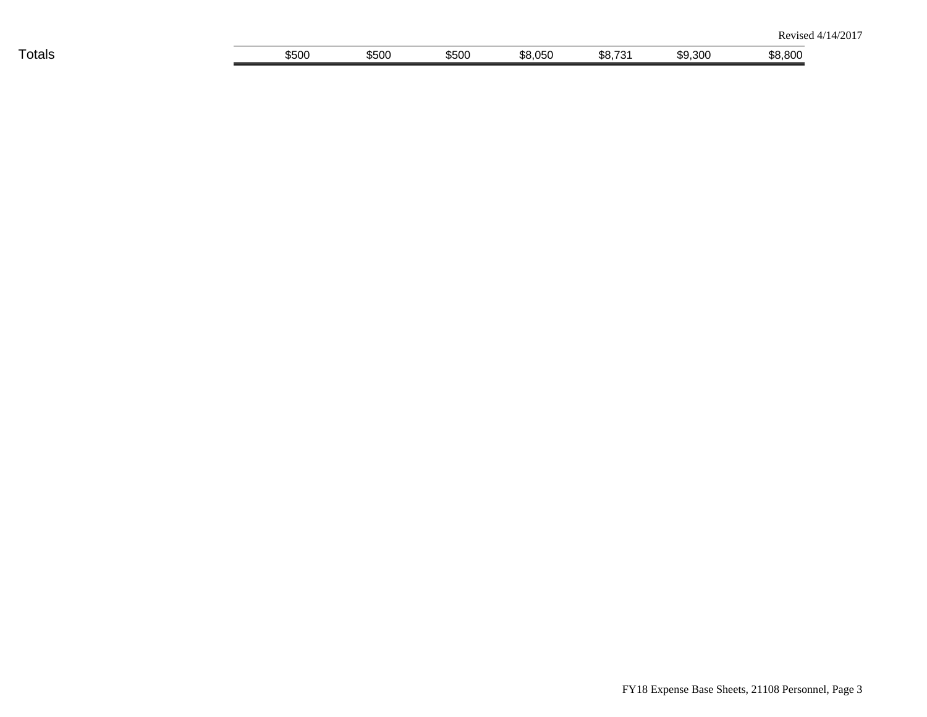| ___<br>⊺otals | $F\cap\cap$<br>ນບດ | $\sim$ $\sim$ $\sim$<br>ააიდ | \$500 | <b>OFC</b><br>. U<br>u.uu | \$8.<br>$\overline{\phantom{a}}$ | \$9.300 | onr<br>.<br>$\cdots$ |
|---------------|--------------------|------------------------------|-------|---------------------------|----------------------------------|---------|----------------------|
|               |                    |                              |       |                           |                                  |         |                      |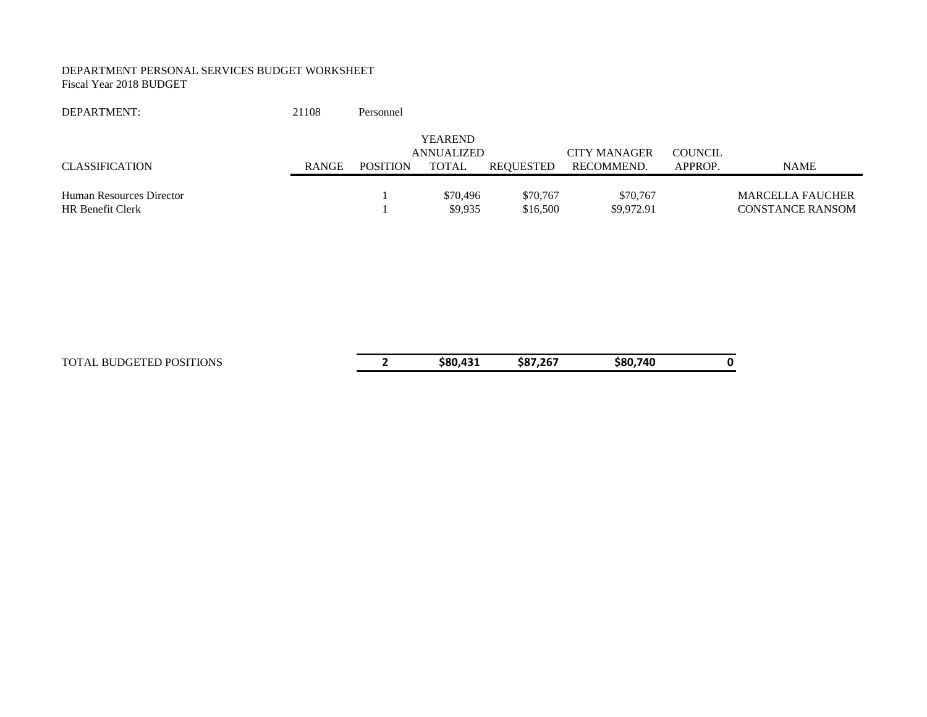#### DEPARTMENT PERSONAL SERVICES BUDGET WORKSHEET Fiscal Year 2018 BUDGET

| DEPARTMENT:                                         | 21108        | Personnel       |                                     |                      |                        |         |                                                    |
|-----------------------------------------------------|--------------|-----------------|-------------------------------------|----------------------|------------------------|---------|----------------------------------------------------|
|                                                     |              |                 | <b>YEAREND</b><br><b>ANNUALIZED</b> |                      | <b>CITY MANAGER</b>    | COUNCIL |                                                    |
| <b>CLASSIFICATION</b>                               | <b>RANGE</b> | <b>POSITION</b> | TOTAL                               | REOUESTED            | RECOMMEND.             | APPROP. | <b>NAME</b>                                        |
| Human Resources Director<br><b>HR Benefit Clerk</b> |              |                 | \$70,496<br>\$9.935                 | \$70,767<br>\$16,500 | \$70,767<br>\$9,972.91 |         | <b>MARCELLA FAUCHER</b><br><b>CONSTANCE RANSOM</b> |

| TOTAL BUDGETED POSITIONS | \$80.431 | \$87.267 | \$80.740 |  |
|--------------------------|----------|----------|----------|--|
|                          |          |          |          |  |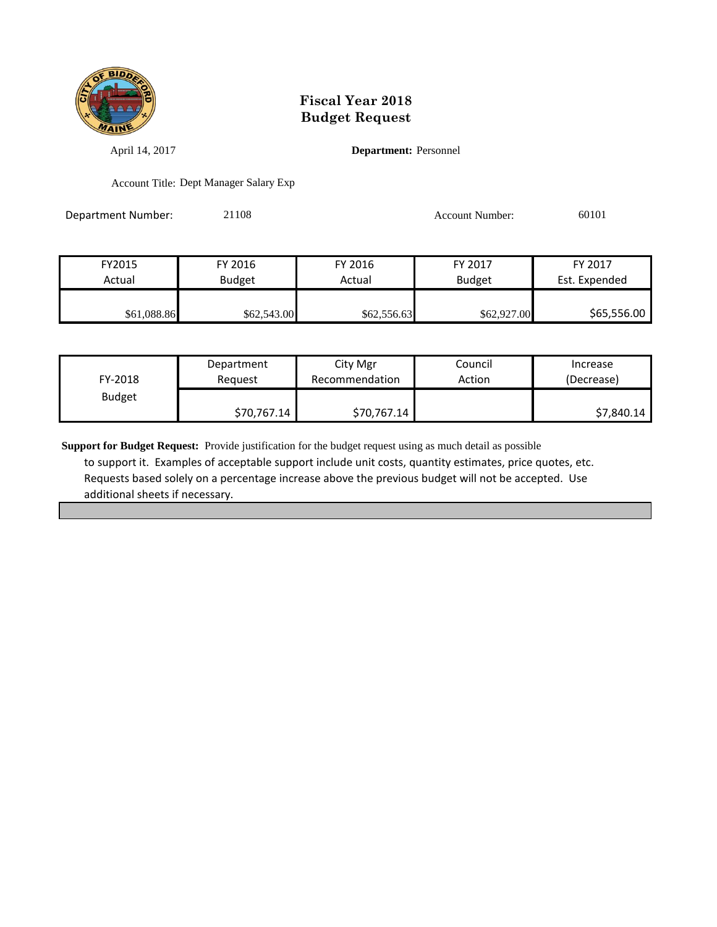

April 14, 2017 **Department:** Personnel

Account Title: Dept Manager Salary Exp

Department Number: 21108 Account Number: 60101

| FY2015      | FY 2016       | FY 2016     | FY 2017       | FY 2017       |
|-------------|---------------|-------------|---------------|---------------|
| Actual      | <b>Budget</b> | Actual      | <b>Budget</b> | Est. Expended |
|             |               |             |               |               |
| \$61,088.86 | \$62,543.00   | \$62,556.63 | \$62,927.00   | \$65,556.00   |

| FY-2018       | Department  | City Mgr       | Council | Increase   |
|---------------|-------------|----------------|---------|------------|
|               | Reguest     | Recommendation | Action  | (Decrease) |
| <b>Budget</b> | \$70,767.14 | \$70,767.14    |         | \$7,840.14 |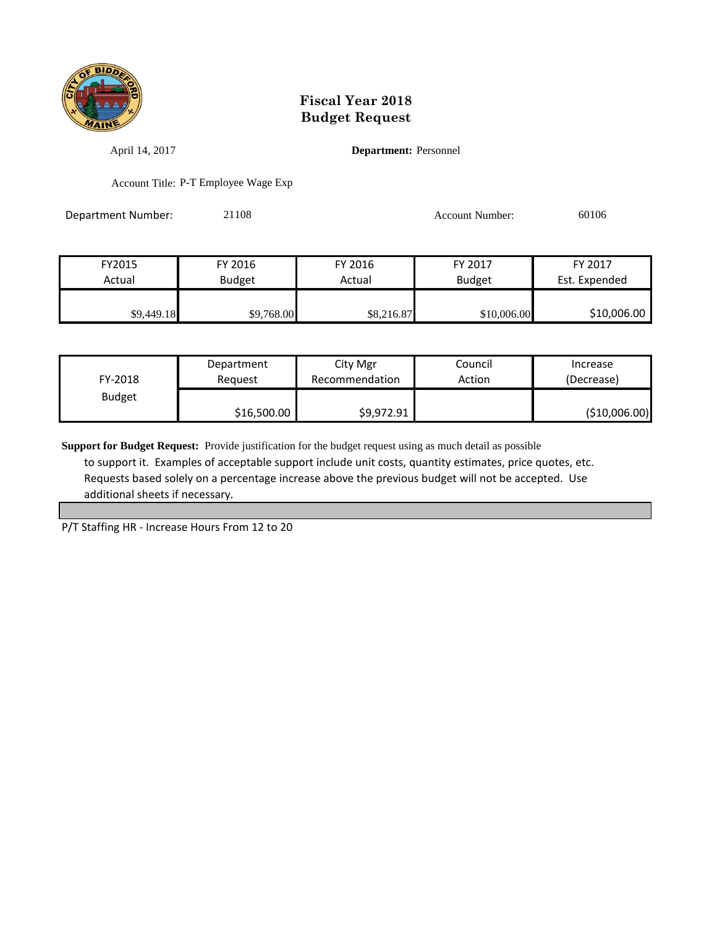

April 14, 2017 **Department:** Personnel

Account Title: P-T Employee Wage Exp

Department Number: 21108 21108 Account Number: 60106

| FY2015     | FY 2016       | FY 2016    | FY 2017       | FY 2017       |
|------------|---------------|------------|---------------|---------------|
| Actual     | <b>Budget</b> | Actual     | <b>Budget</b> | Est. Expended |
|            |               |            |               |               |
| \$9,449.18 | \$9,768.00    | \$8,216.87 | \$10,006.00   | \$10,006.00   |

| FY-2018       | Department  | City Mgr       | Council | Increase      |
|---------------|-------------|----------------|---------|---------------|
|               | Reauest     | Recommendation | Action  | (Decrease)    |
| <b>Budget</b> | \$16,500.00 | \$9,972.91     |         | (\$10,006.00) |

**Support for Budget Request:** Provide justification for the budget request using as much detail as possible to support it. Examples of acceptable support include unit costs, quantity estimates, price quotes, etc. Requests based solely on a percentage increase above the previous budget will not be accepted. Use additional sheets if necessary.

P/T Staffing HR - Increase Hours From 12 to 20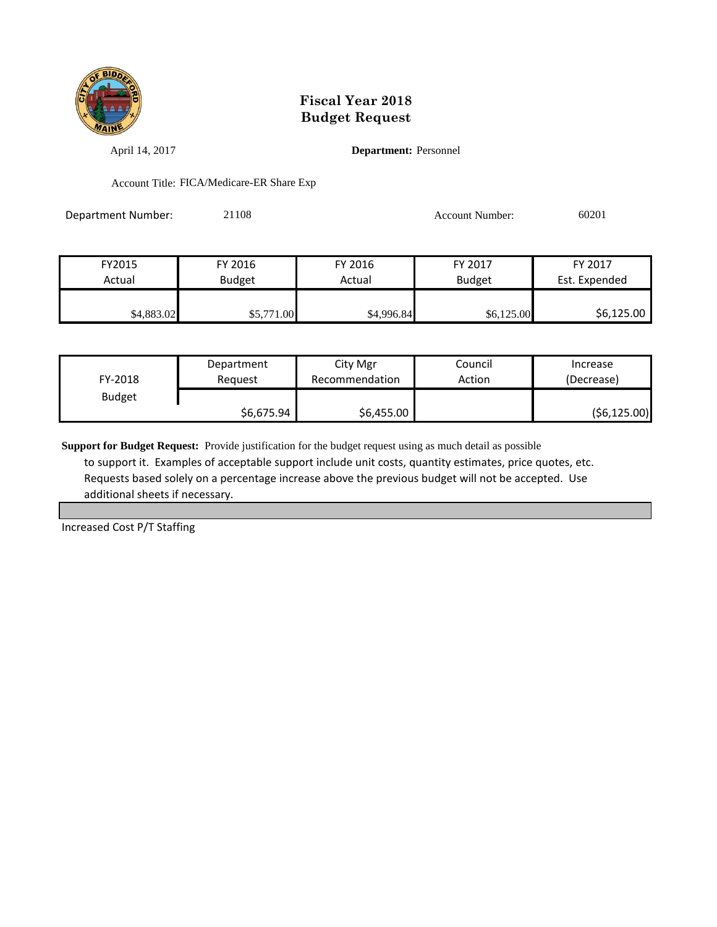

April 14, 2017 **Department:** Personnel

Account Title: FICA/Medicare-ER Share Exp

Department Number: 21108 Account Number: 60201

| FY2015                  | FY 2016    | FY 2016    | FY 2017       | FY 2017       |
|-------------------------|------------|------------|---------------|---------------|
| Actual<br><b>Budget</b> |            | Actual     | <b>Budget</b> | Est. Expended |
|                         |            |            |               |               |
| \$4,883.02              | \$5,771.00 | \$4,996.84 | \$6,125.00    | \$6,125.00    |

| FY-2018       | Department | City Mgr       | Council | Increase     |
|---------------|------------|----------------|---------|--------------|
|               | Reauest    | Recommendation | Action  | (Decrease)   |
| <b>Budget</b> | \$6,675.94 | \$6,455.00     |         | (56, 125.00) |

**Support for Budget Request:** Provide justification for the budget request using as much detail as possible to support it. Examples of acceptable support include unit costs, quantity estimates, price quotes, etc. Requests based solely on a percentage increase above the previous budget will not be accepted. Use additional sheets if necessary.

Increased Cost P/T Staffing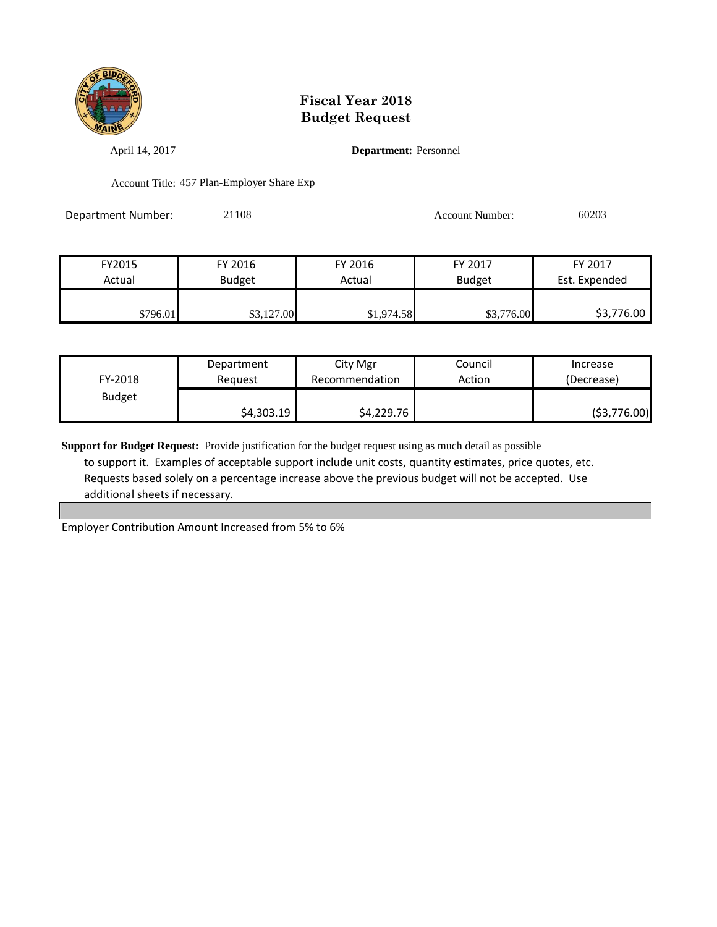

April 14, 2017 **Department:** Personnel

Account Title: 457 Plan-Employer Share Exp

Department Number: 21108 Account Number: 60203

| FY2015   | FY 2016       | FY 2016    | FY 2017       | FY 2017       |
|----------|---------------|------------|---------------|---------------|
| Actual   | <b>Budget</b> | Actual     | <b>Budget</b> | Est. Expended |
|          |               |            |               |               |
| \$796.01 | \$3,127.00    | \$1,974.58 | \$3,776.00    | \$3,776.00    |

| FY-2018       | Department | City Mgr       | Council | Increase    |
|---------------|------------|----------------|---------|-------------|
|               | Reauest    | Recommendation | Action  | (Decrease)  |
| <b>Budget</b> | \$4,303.19 | \$4,229.76     |         | (53,776.00) |

**Support for Budget Request:** Provide justification for the budget request using as much detail as possible to support it. Examples of acceptable support include unit costs, quantity estimates, price quotes, etc. Requests based solely on a percentage increase above the previous budget will not be accepted. Use additional sheets if necessary.

Employer Contribution Amount Increased from 5% to 6%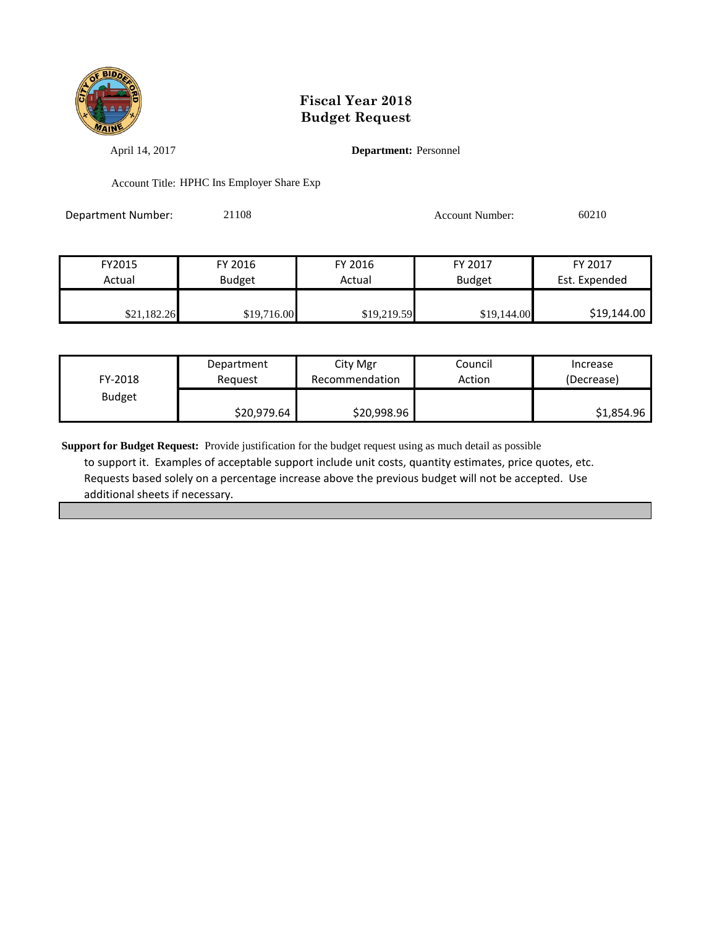

April 14, 2017 **Department:** Personnel

Account Title: HPHC Ins Employer Share Exp

Department Number: 21108 Account Number: 60210

| FY2015      | FY 2016       | FY 2016     | FY 2017       | FY 2017       |
|-------------|---------------|-------------|---------------|---------------|
| Actual      | <b>Budget</b> | Actual      | <b>Budget</b> | Est. Expended |
|             |               |             |               |               |
| \$21,182.26 | \$19,716.00   | \$19,219.59 | \$19,144.00   | \$19,144.00   |

| FY-2018       | Department  | City Mgr       | Council | Increase   |
|---------------|-------------|----------------|---------|------------|
|               | Reauest     | Recommendation | Action  | (Decrease) |
| <b>Budget</b> | \$20,979.64 | \$20,998.96    |         | \$1,854.96 |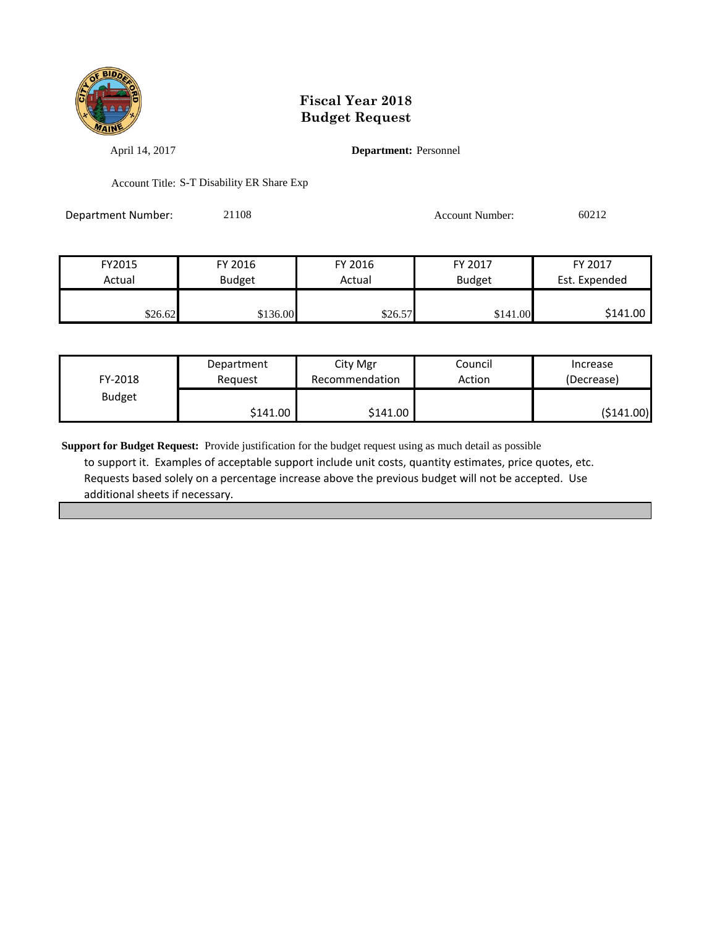

April 14, 2017 **Department:** Personnel

Account Title: S-T Disability ER Share Exp

Department Number: 21108 Account Number: 60212

| FY2015  | FY 2016       | FY 2016 | FY 2017       | FY 2017       |
|---------|---------------|---------|---------------|---------------|
| Actual  | <b>Budget</b> | Actual  | <b>Budget</b> | Est. Expended |
|         |               |         |               |               |
| \$26.62 | \$136.00      | \$26.57 | \$141.00      | \$141.00      |

| FY-2018       | Department | City Mgr       | Council | Increase   |
|---------------|------------|----------------|---------|------------|
|               | Reauest    | Recommendation | Action  | (Decrease) |
| <b>Budget</b> | \$141.00   | \$141.00       |         | (\$141.00) |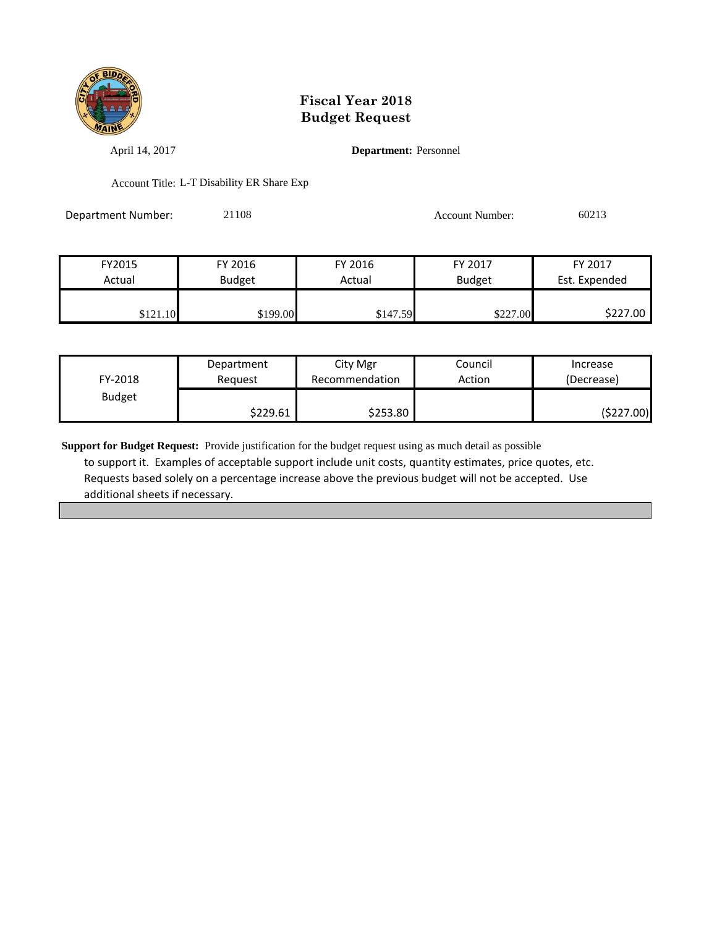

April 14, 2017 **Department:** Personnel

Account Title: L-T Disability ER Share Exp

Department Number: 21108 Account Number: 60213

| FY2015   | FY 2016       | FY 2016  | FY 2017       | FY 2017       |
|----------|---------------|----------|---------------|---------------|
| Actual   | <b>Budget</b> | Actual   | <b>Budget</b> | Est. Expended |
|          |               |          |               |               |
| \$121.10 | \$199.00      | \$147.59 | \$227.00      | \$227.00      |

| FY-2018       | Department | City Mgr       | Council | Increase   |
|---------------|------------|----------------|---------|------------|
|               | Reguest    | Recommendation | Action  | (Decrease) |
| <b>Budget</b> | \$229.61   | \$253.80       |         | (\$227.00) |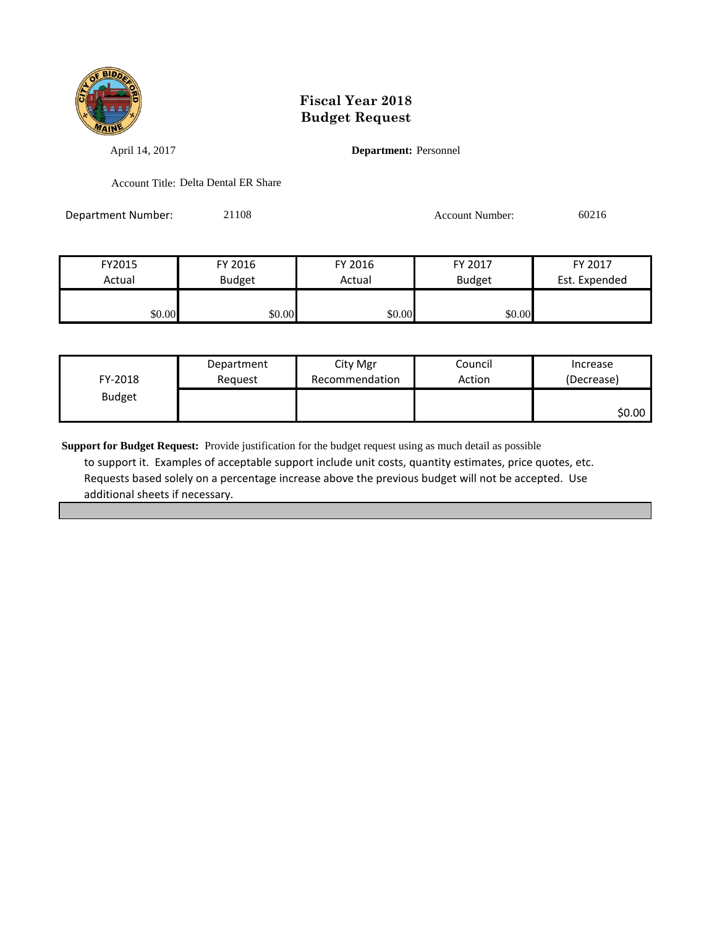

April 14, 2017 **Department:** Personnel

Account Title: Delta Dental ER Share

Department Number: 21108 Account Number: 60216

| FY2015 | FY 2016       | FY 2016 | FY 2017       | FY 2017       |
|--------|---------------|---------|---------------|---------------|
| Actual | <b>Budget</b> | Actual  | <b>Budget</b> | Est. Expended |
|        |               |         |               |               |
| \$0.00 | \$0.00        | \$0.00  | \$0.00        |               |

| FY-2018       | Department | City Mgr       | Council | Increase   |
|---------------|------------|----------------|---------|------------|
|               | Reguest    | Recommendation | Action  | (Decrease) |
| <b>Budget</b> |            |                |         | \$0.00     |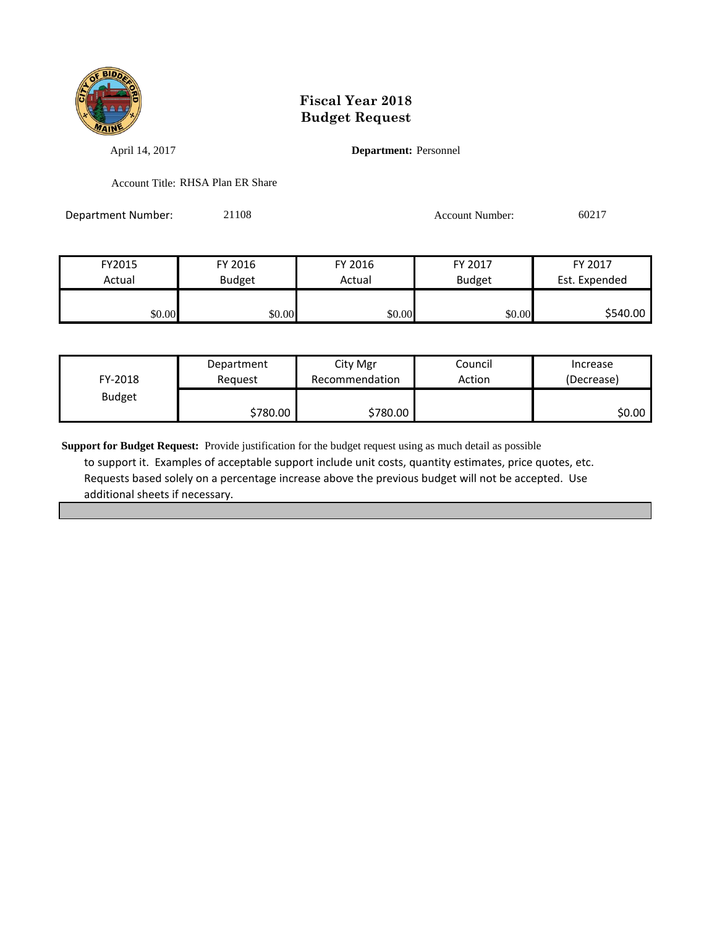

April 14, 2017 **Department:** Personnel

Account Title: RHSA Plan ER Share

Department Number: 21108 Account Number: 60217

| FY2015 | FY 2016       | FY 2016 | FY 2017       | FY 2017       |
|--------|---------------|---------|---------------|---------------|
| Actual | <b>Budget</b> | Actual  | <b>Budget</b> | Est. Expended |
|        |               |         |               |               |
| \$0.00 | \$0.00        | \$0.00  | \$0.00        | \$540.00      |

| FY-2018       | Department | City Mgr       | Council | Increase   |
|---------------|------------|----------------|---------|------------|
|               | Reauest    | Recommendation | Action  | (Decrease) |
| <b>Budget</b> | \$780.00   | \$780.00       |         | \$0.00     |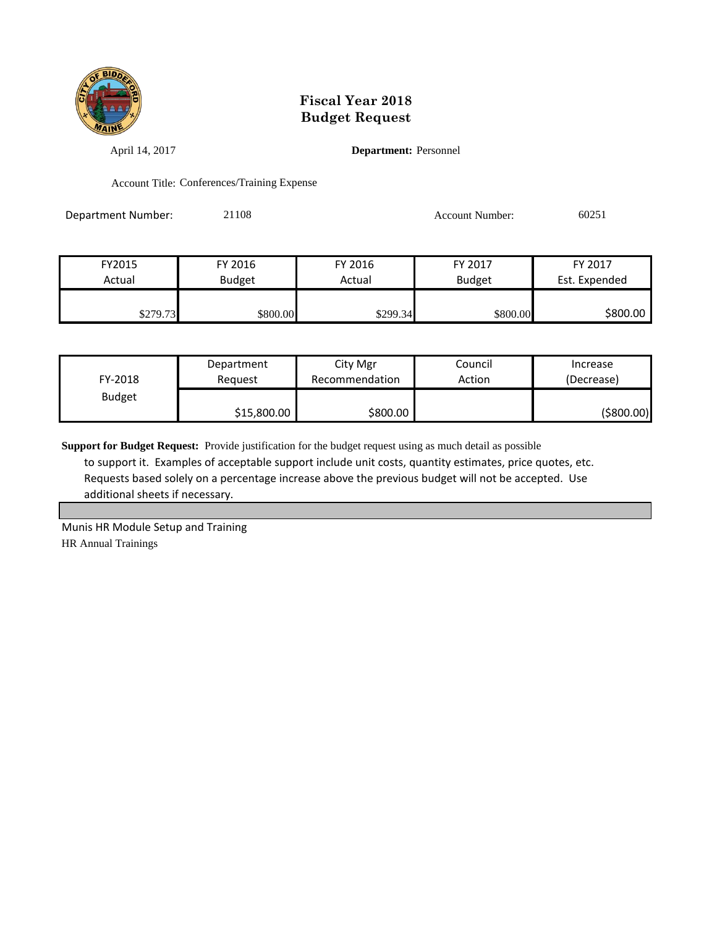

April 14, 2017 **Department:** Personnel

Account Title: Conferences/Training Expense

Department Number: 21108 Account Number: 60251

| FY2015   | FY 2016       | FY 2016  | FY 2017       | FY 2017       |
|----------|---------------|----------|---------------|---------------|
| Actual   | <b>Budget</b> | Actual   | <b>Budget</b> | Est. Expended |
|          |               |          |               |               |
| \$279.73 | \$800.00      | \$299.34 | \$800.00      | \$800.00      |

| FY-2018       | Department  | City Mgr       | Council | Increase   |
|---------------|-------------|----------------|---------|------------|
|               | Reauest     | Recommendation | Action  | (Decrease) |
| <b>Budget</b> | \$15,800.00 | \$800.00       |         | (\$800.00) |

**Support for Budget Request:** Provide justification for the budget request using as much detail as possible to support it. Examples of acceptable support include unit costs, quantity estimates, price quotes, etc. Requests based solely on a percentage increase above the previous budget will not be accepted. Use additional sheets if necessary.

Munis HR Module Setup and Training HR Annual Trainings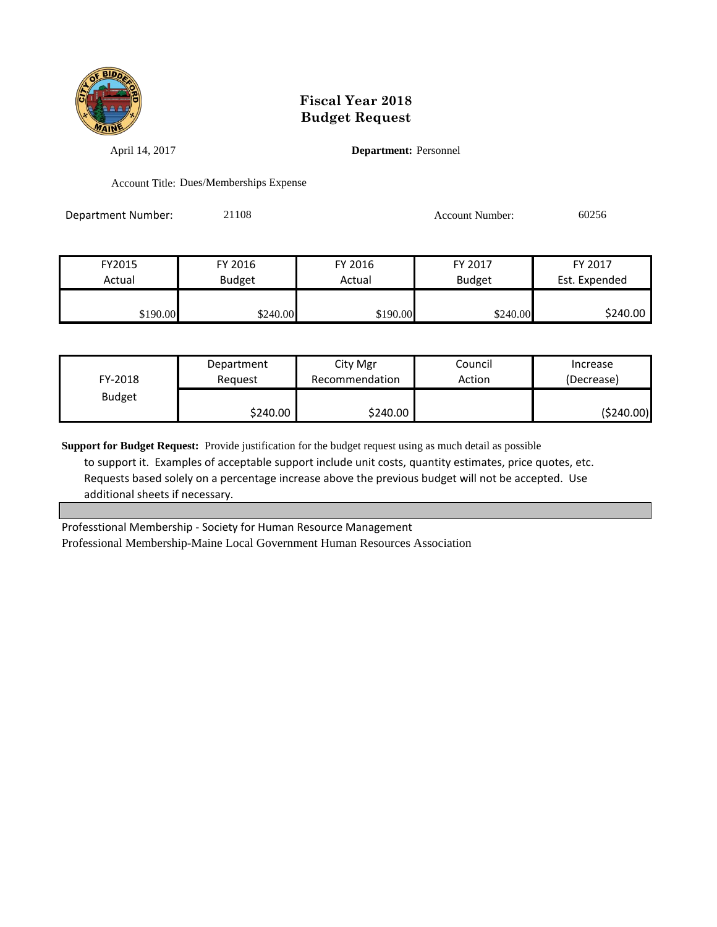

April 14, 2017 **Department:** Personnel

Account Title: Dues/Memberships Expense

Department Number: 21108 Account Number: 60256

| FY2015   | FY 2016       | FY 2016  | FY 2017       | FY 2017       |
|----------|---------------|----------|---------------|---------------|
| Actual   | <b>Budget</b> | Actual   | <b>Budget</b> | Est. Expended |
|          |               |          |               |               |
| \$190.00 | \$240.00      | \$190.00 | \$240.00      | \$240.00      |

| FY-2018       | Department | City Mgr       | Council | Increase    |
|---------------|------------|----------------|---------|-------------|
|               | Reauest    | Recommendation | Action  | (Decrease)  |
| <b>Budget</b> | \$240.00   | \$240.00       |         | ( \$240.00) |

**Support for Budget Request:** Provide justification for the budget request using as much detail as possible to support it. Examples of acceptable support include unit costs, quantity estimates, price quotes, etc. Requests based solely on a percentage increase above the previous budget will not be accepted. Use additional sheets if necessary.

Professtional Membership - Society for Human Resource Management Professional Membership-Maine Local Government Human Resources Association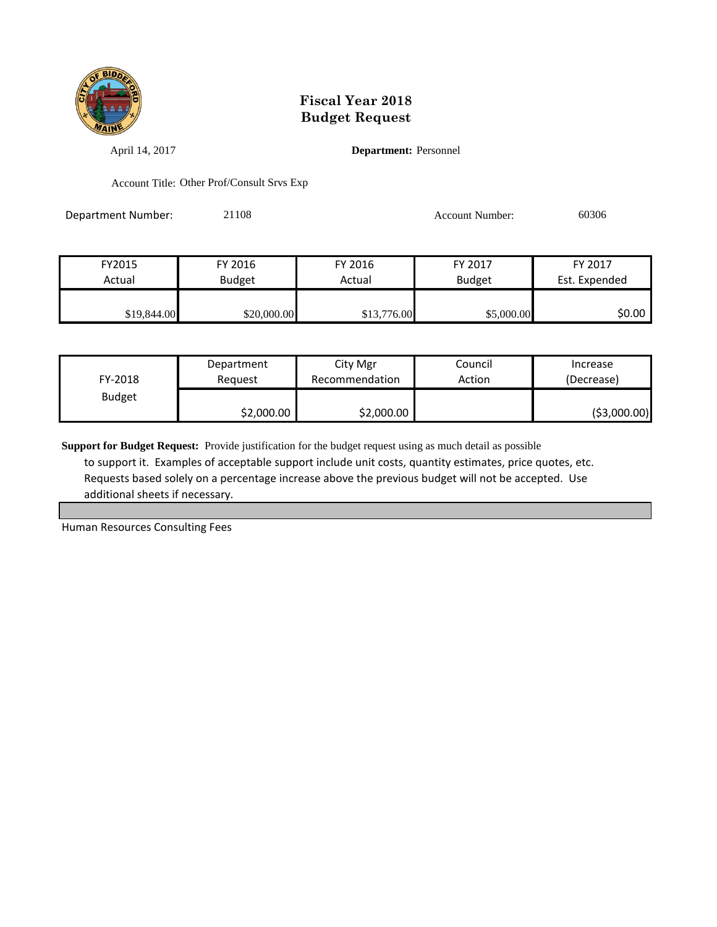

April 14, 2017 **Department:** Personnel

Account Title: Other Prof/Consult Srvs Exp

Department Number: 21108 21108 Account Number: 60306

| FY2015      | FY 2016       | FY 2016     | FY 2017       | FY 2017       |
|-------------|---------------|-------------|---------------|---------------|
| Actual      | <b>Budget</b> | Actual      | <b>Budget</b> | Est. Expended |
|             |               |             |               |               |
| \$19,844.00 | \$20,000.00   | \$13,776.00 | \$5,000.00    | \$0.00        |

| FY-2018       | Department | City Mgr       | Council | Increase      |
|---------------|------------|----------------|---------|---------------|
|               | Reauest    | Recommendation | Action  | (Decrease)    |
| <b>Budget</b> | \$2,000.00 | \$2,000.00     |         | ( \$3,000.00) |

**Support for Budget Request:** Provide justification for the budget request using as much detail as possible to support it. Examples of acceptable support include unit costs, quantity estimates, price quotes, etc. Requests based solely on a percentage increase above the previous budget will not be accepted. Use additional sheets if necessary.

Human Resources Consulting Fees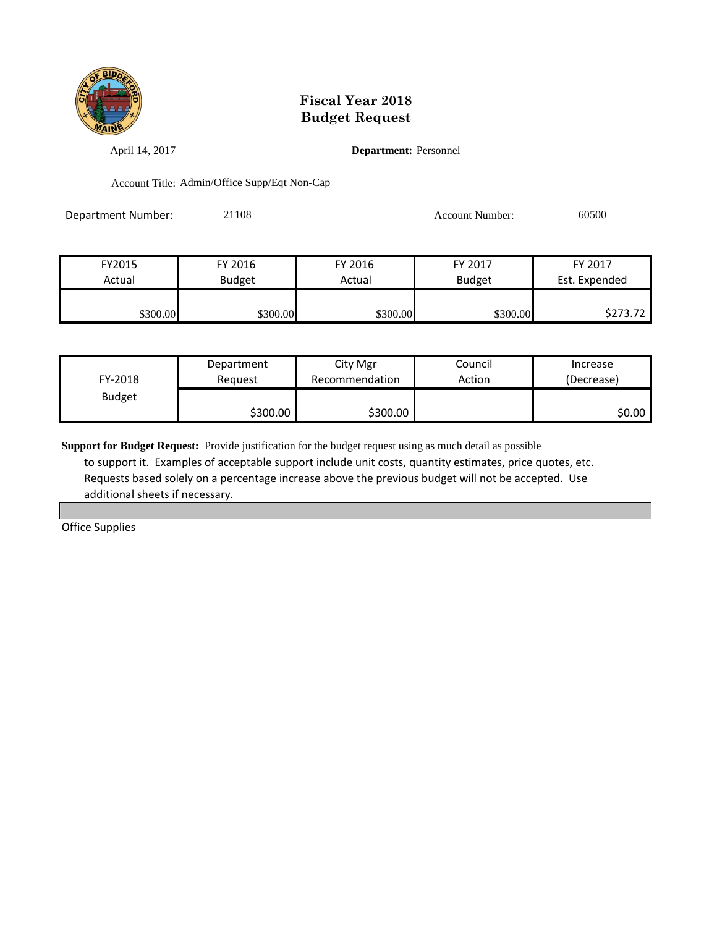

April 14, 2017 **Department:** Personnel

Account Title: Admin/Office Supp/Eqt Non-Cap

Department Number: 21108 21108 Account Number: 60500

| FY2015   | FY 2016       | FY 2016  | FY 2017       | FY 2017       |
|----------|---------------|----------|---------------|---------------|
| Actual   | <b>Budget</b> | Actual   | <b>Budget</b> | Est. Expended |
|          |               |          |               |               |
| \$300.00 | \$300.00      | \$300.00 | \$300.00      | \$273.72      |

| FY-2018       | Department | City Mgr       | Council | Increase   |
|---------------|------------|----------------|---------|------------|
|               | Reauest    | Recommendation | Action  | (Decrease) |
| <b>Budget</b> | \$300.00   | \$300.00       |         | \$0.00     |

**Support for Budget Request:** Provide justification for the budget request using as much detail as possible to support it. Examples of acceptable support include unit costs, quantity estimates, price quotes, etc. Requests based solely on a percentage increase above the previous budget will not be accepted. Use additional sheets if necessary.

Office Supplies